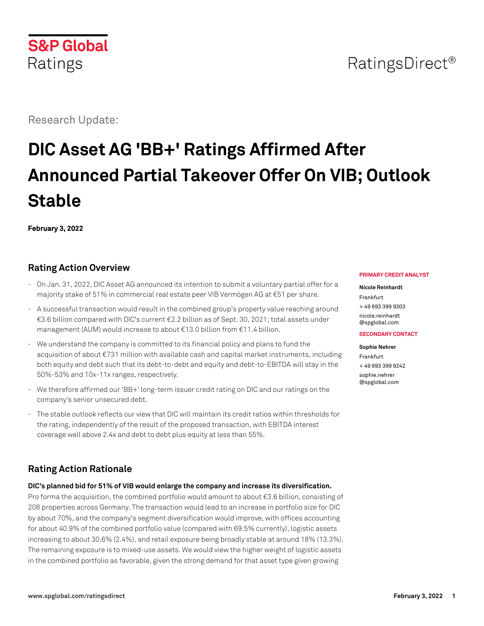# **S&P Global** Ratings

Research Update:

# **DIC Asset AG 'BB+' Ratings Affirmed After Announced Partial Takeover Offer On VIB; Outlook Stable**

**February 3, 2022**

## **Rating Action Overview**

- On Jan. 31, 2022, DIC Asset AG announced its intention to submit a voluntary partial offer for a majority stake of 51% in commercial real estate peer VIB Vermögen AG at €51 per share.
- A successful transaction would result in the combined group's property value reaching around €3.6 billion compared with DIC's current €2.2 billion as of Sept. 30, 2021; total assets under management (AUM) would increase to about €13.0 billion from €11.4 billion.
- We understand the company is committed to its financial policy and plans to fund the acquisition of about €731 million with available cash and capital market instruments, including both equity and debt such that its debt-to-debt and equity and debt-to-EBITDA will stay in the 50%-53% and 10x-11x ranges, respectively.
- We therefore affirmed our 'BB+' long-term issuer credit rating on DIC and our ratings on the company's senior unsecured debt.
- The stable outlook reflects our view that DIC will maintain its credit ratios within thresholds for the rating, independently of the result of the proposed transaction, with EBITDA interest coverage well above 2.4x and debt to debt plus equity at less than 55%.

# **Rating Action Rationale**

**DIC's planned bid for 51% of VIB would enlarge the company and increase its diversification.**

Pro forma the acquisition, the combined portfolio would amount to about  $\epsilon$ 3.6 billion, consisting of 208 properties across Germany. The transaction would lead to an increase in portfolio size for DIC by about 70%, and the company's segment diversification would improve, with offices accounting for about 40.9% of the combined portfolio value (compared with 69.5% currently), logistic assets increasing to about 30.6% (2.4%), and retail exposure being broadly stable at around 18% (13.3%). The remaining exposure is to mixed-use assets. We would view the higher weight of logistic assets in the combined portfolio as favorable, given the strong demand for that asset type given growing

#### **PRIMARY CREDIT ANALYST**

**Nicole Reinhardt** Frankfurt + 49 693 399 9303 [nicole.reinhardt](mailto:nicole.reinhardt@spglobal.com) [@spglobal.com](mailto:nicole.reinhardt@spglobal.com)

#### **SECONDARY CONTACT**

**Sophie Nehrer** Frankfurt + 49 693 399 9242 [sophie.nehrer](mailto:sophie.nehrer@spglobal.com) [@spglobal.com](mailto:sophie.nehrer@spglobal.com)

# RatingsDirect<sup>®</sup>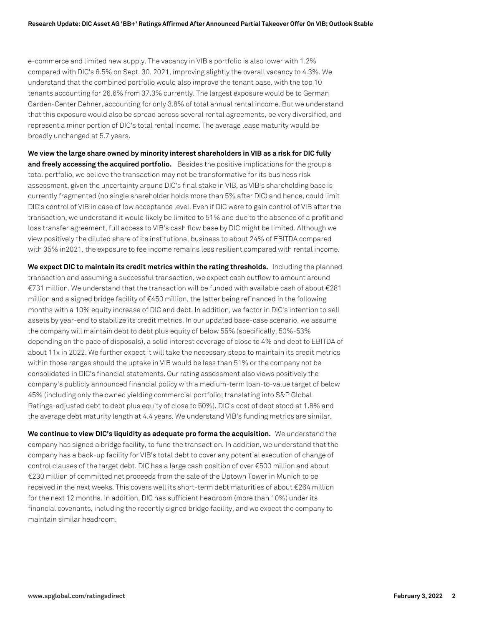e-commerce and limited new supply. The vacancy in VIB's portfolio is also lower with 1.2% compared with DIC's 6.5% on Sept. 30, 2021, improving slightly the overall vacancy to 4.3%. We understand that the combined portfolio would also improve the tenant base, with the top 10 tenants accounting for 26.6% from 37.3% currently. The largest exposure would be to German Garden-Center Dehner, accounting for only 3.8% of total annual rental income. But we understand that this exposure would also be spread across several rental agreements, be very diversified, and represent a minor portion of DIC's total rental income. The average lease maturity would be broadly unchanged at 5.7 years.

**We view the large share owned by minority interest shareholders in VIB as a risk for DIC fully and freely accessing the acquired portfolio.** Besides the positive implications for the group's total portfolio, we believe the transaction may not be transformative for its business risk assessment, given the uncertainty around DIC's final stake in VIB, as VIB's shareholding base is currently fragmented (no single shareholder holds more than 5% after DIC) and hence, could limit DIC's control of VIB in case of low acceptance level. Even if DIC were to gain control of VIB after the transaction, we understand it would likely be limited to 51% and due to the absence of a profit and loss transfer agreement, full access to VIB's cash flow base by DIC might be limited. Although we view positively the diluted share of its institutional business to about 24% of EBITDA compared with 35% in2021, the exposure to fee income remains less resilient compared with rental income.

**We expect DIC to maintain its credit metrics within the rating thresholds.** Including the planned transaction and assuming a successful transaction, we expect cash outflow to amount around €731 million. We understand that the transaction will be funded with available cash of about €281 million and a signed bridge facility of €450 million, the latter being refinanced in the following months with a 10% equity increase of DIC and debt. In addition, we factor in DIC's intention to sell assets by year-end to stabilize its credit metrics. In our updated base-case scenario, we assume the company will maintain debt to debt plus equity of below 55% (specifically, 50%-53% depending on the pace of disposals), a solid interest coverage of close to 4% and debt to EBITDA of about 11x in 2022. We further expect it will take the necessary steps to maintain its credit metrics within those ranges should the uptake in VIB would be less than 51% or the company not be consolidated in DIC's financial statements. Our rating assessment also views positively the company's publicly announced financial policy with a medium-term loan-to-value target of below 45% (including only the owned yielding commercial portfolio; translating into S&P Global Ratings-adjusted debt to debt plus equity of close to 50%). DIC's cost of debt stood at 1.8% and the average debt maturity length at 4.4 years. We understand VIB's funding metrics are similar.

**We continue to view DIC's liquidity as adequate pro forma the acquisition.** We understand the company has signed a bridge facility, to fund the transaction. In addition, we understand that the company has a back-up facility for VIB's total debt to cover any potential execution of change of control clauses of the target debt. DIC has a large cash position of over €500 million and about €230 million of committed net proceeds from the sale of the Uptown Tower in Munich to be received in the next weeks. This covers well its short-term debt maturities of about €264 million for the next 12 months. In addition, DIC has sufficient headroom (more than 10%) under its financial covenants, including the recently signed bridge facility, and we expect the company to maintain similar headroom.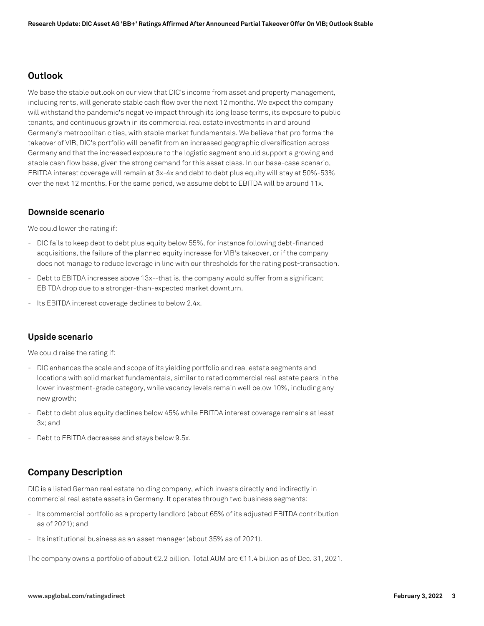#### **Outlook**

We base the stable outlook on our view that DIC's income from asset and property management, including rents, will generate stable cash flow over the next 12 months. We expect the company will withstand the pandemic's negative impact through its long lease terms, its exposure to public tenants, and continuous growth in its commercial real estate investments in and around Germany's metropolitan cities, with stable market fundamentals. We believe that pro forma the takeover of VIB, DIC's portfolio will benefit from an increased geographic diversification across Germany and that the increased exposure to the logistic segment should support a growing and stable cash flow base, given the strong demand for this asset class. In our base-case scenario, EBITDA interest coverage will remain at 3x-4x and debt to debt plus equity will stay at 50%-53% over the next 12 months. For the same period, we assume debt to EBITDA will be around 11x.

#### **Downside scenario**

We could lower the rating if:

- DIC fails to keep debt to debt plus equity below 55%, for instance following debt-financed acquisitions, the failure of the planned equity increase for VIB's takeover, or if the company does not manage to reduce leverage in line with our thresholds for the rating post-transaction.
- Debt to EBITDA increases above 13x--that is, the company would suffer from a significant EBITDA drop due to a stronger-than-expected market downturn.
- Its EBITDA interest coverage declines to below 2.4x.

#### **Upside scenario**

We could raise the rating if:

- DIC enhances the scale and scope of its yielding portfolio and real estate segments and locations with solid market fundamentals, similar to rated commercial real estate peers in the lower investment-grade category, while vacancy levels remain well below 10%, including any new growth;
- Debt to debt plus equity declines below 45% while EBITDA interest coverage remains at least 3x; and
- Debt to EBITDA decreases and stays below 9.5x.

#### **Company Description**

DIC is a listed German real estate holding company, which invests directly and indirectly in commercial real estate assets in Germany. It operates through two business segments:

- Its commercial portfolio as a property landlord (about 65% of its adjusted EBITDA contribution as of 2021); and
- Its institutional business as an asset manager (about 35% as of 2021).

The company owns a portfolio of about €2.2 billion. Total AUM are €11.4 billion as of Dec. 31, 2021.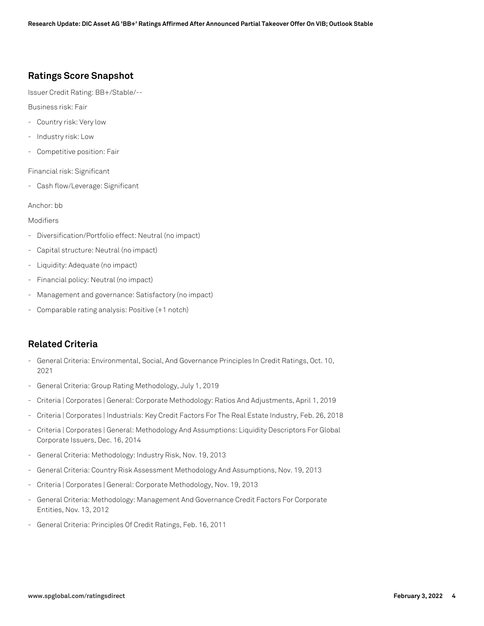#### **Ratings Score Snapshot**

Issuer Credit Rating: BB+/Stable/--

Business risk: Fair

- Country risk: Very low
- Industry risk: Low
- Competitive position: Fair

Financial risk: Significant

- Cash flow/Leverage: Significant

Anchor: bb

#### Modifiers

- Diversification/Portfolio effect: Neutral (no impact)
- Capital structure: Neutral (no impact)
- Liquidity: Adequate (no impact)
- Financial policy: Neutral (no impact)
- Management and governance: Satisfactory (no impact)
- Comparable rating analysis: Positive (+1 notch)

#### **Related Criteria**

- General Criteria: Environmental, Social, And Governance Principles In Credit Ratings, Oct. 10, 2021
- General Criteria: Group Rating Methodology, July 1, 2019
- Criteria | Corporates | General: Corporate Methodology: Ratios And Adjustments, April 1, 2019
- Criteria | Corporates | Industrials: Key Credit Factors For The Real Estate Industry, Feb. 26, 2018
- Criteria | Corporates | General: Methodology And Assumptions: Liquidity Descriptors For Global Corporate Issuers, Dec. 16, 2014
- General Criteria: Methodology: Industry Risk, Nov. 19, 2013
- General Criteria: Country Risk Assessment Methodology And Assumptions, Nov. 19, 2013
- Criteria | Corporates | General: Corporate Methodology, Nov. 19, 2013
- General Criteria: Methodology: Management And Governance Credit Factors For Corporate Entities, Nov. 13, 2012
- General Criteria: Principles Of Credit Ratings, Feb. 16, 2011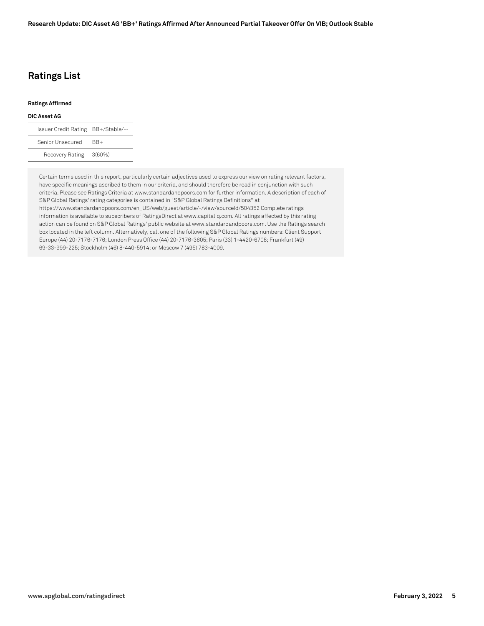### **Ratings List**

## **Ratings Affirmed DIC Asset AG** Issuer Credit Rating BB+/Stable/-- Senior Unsecured BB+ Recovery Rating 3(60%)

Certain terms used in this report, particularly certain adjectives used to express our view on rating relevant factors, have specific meanings ascribed to them in our criteria, and should therefore be read in conjunction with such criteria. Please see Ratings Criteria at www.standardandpoors.com for further information. A description of each of S&P Global Ratings' rating categories is contained in "S&P Global Ratings Definitions" at https://www.standardandpoors.com/en\_US/web/guest/article/-/view/sourceId/504352 Complete ratings information is available to subscribers of RatingsDirect at www.capitaliq.com. All ratings affected by this rating action can be found on S&P Global Ratings' public website at www.standardandpoors.com. Use the Ratings search box located in the left column. Alternatively, call one of the following S&P Global Ratings numbers: Client Support Europe (44) 20-7176-7176; London Press Office (44) 20-7176-3605; Paris (33) 1-4420-6708; Frankfurt (49) 69-33-999-225; Stockholm (46) 8-440-5914; or Moscow 7 (495) 783-4009.